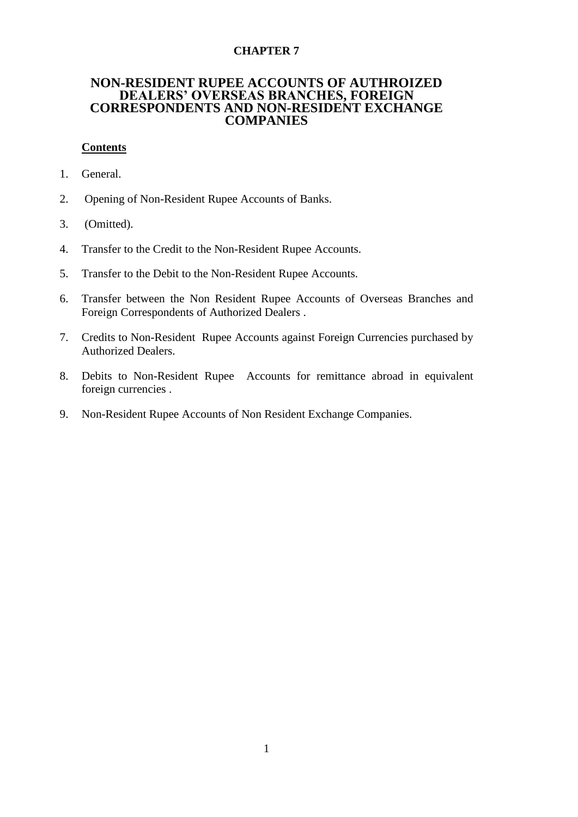## **CHAPTER 7**

# **NON-RESIDENT RUPEE ACCOUNTS OF AUTHROIZED DEALERS' OVERSEAS BRANCHES, FOREIGN CORRESPONDENTS AND NON-RESIDENT EXCHANGE COMPANIES**

## **Contents**

- 1. General.
- 2. Opening of Non-Resident Rupee Accounts of Banks.
- 3. (Omitted).
- 4. Transfer to the Credit to the Non-Resident Rupee Accounts.
- 5. Transfer to the Debit to the Non-Resident Rupee Accounts.
- 6. Transfer between the Non Resident Rupee Accounts of Overseas Branches and Foreign Correspondents of Authorized Dealers .
- 7. Credits to Non-Resident Rupee Accounts against Foreign Currencies purchased by Authorized Dealers.
- 8. Debits to Non-Resident Rupee Accounts for remittance abroad in equivalent foreign currencies .
- 9. Non-Resident Rupee Accounts of Non Resident Exchange Companies.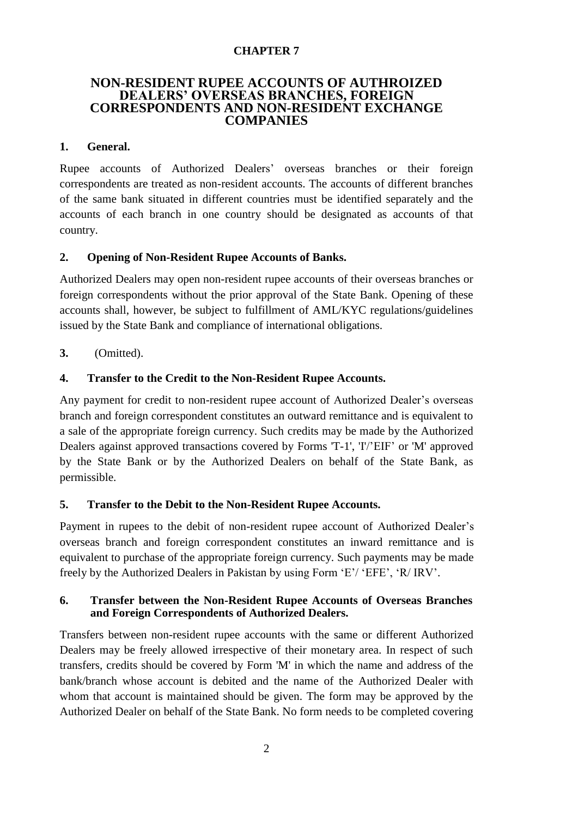#### **CHAPTER 7**

## **NON-RESIDENT RUPEE ACCOUNTS OF AUTHROIZED DEALERS' OVERSEAS BRANCHES, FOREIGN CORRESPONDENTS AND NON-RESIDENT EXCHANGE COMPANIES**

#### **1. General.**

Rupee accounts of Authorized Dealers' overseas branches or their foreign correspondents are treated as non-resident accounts. The accounts of different branches of the same bank situated in different countries must be identified separately and the accounts of each branch in one country should be designated as accounts of that country.

## **2. Opening of Non-Resident Rupee Accounts of Banks.**

Authorized Dealers may open non-resident rupee accounts of their overseas branches or foreign correspondents without the prior approval of the State Bank. Opening of these accounts shall, however, be subject to fulfillment of AML/KYC regulations/guidelines issued by the State Bank and compliance of international obligations.

**3.** (Omitted).

#### **4. Transfer to the Credit to the Non-Resident Rupee Accounts.**

Any payment for credit to non-resident rupee account of Authorized Dealer's overseas branch and foreign correspondent constitutes an outward remittance and is equivalent to a sale of the appropriate foreign currency. Such credits may be made by the Authorized Dealers against approved transactions covered by Forms 'T-1', 'I'/'EIF' or 'M' approved by the State Bank or by the Authorized Dealers on behalf of the State Bank, as permissible.

#### **5. Transfer to the Debit to the Non-Resident Rupee Accounts.**

Payment in rupees to the debit of non-resident rupee account of Authorized Dealer's overseas branch and foreign correspondent constitutes an inward remittance and is equivalent to purchase of the appropriate foreign currency. Such payments may be made freely by the Authorized Dealers in Pakistan by using Form 'E'/ 'EFE', 'R/ IRV'.

## **6. Transfer between the Non-Resident Rupee Accounts of Overseas Branches and Foreign Correspondents of Authorized Dealers.**

Transfers between non-resident rupee accounts with the same or different Authorized Dealers may be freely allowed irrespective of their monetary area. In respect of such transfers, credits should be covered by Form 'M' in which the name and address of the bank/branch whose account is debited and the name of the Authorized Dealer with whom that account is maintained should be given. The form may be approved by the Authorized Dealer on behalf of the State Bank. No form needs to be completed covering